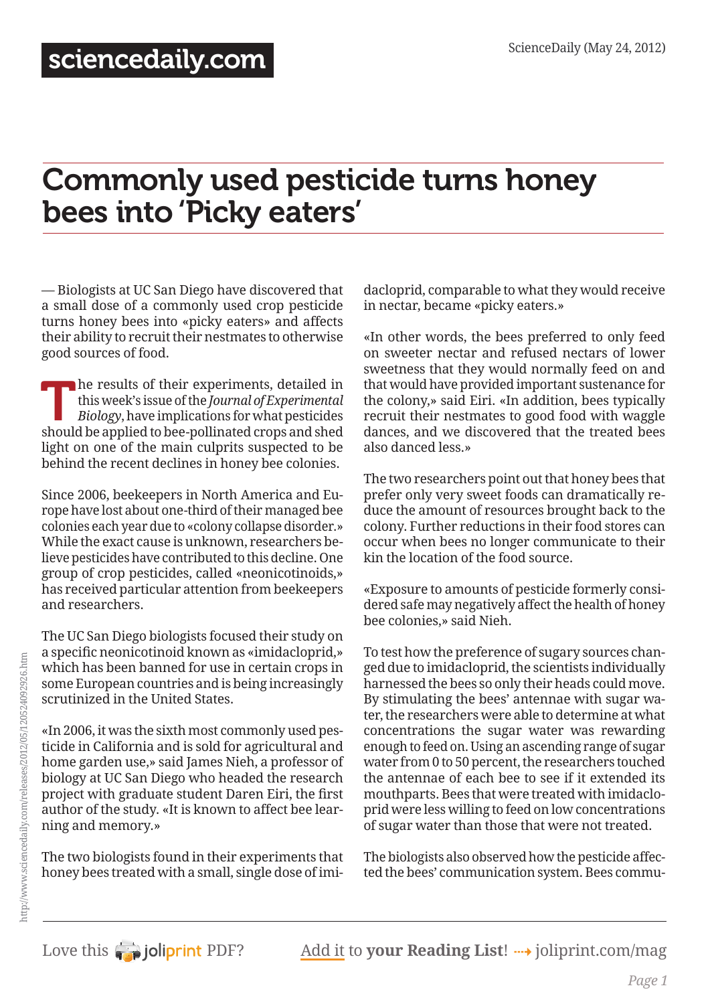# Commonly used pesticide turns honey bees into 'Picky eaters'

— Biologists at UC San Diego have discovered that a small dose of a commonly used crop pesticide turns honey bees into «picky eaters» and affects their ability to recruit their nestmates to otherwise good sources of food.

**The results of their experiments, detailed in**<br>this week's issue of the *Journal of Experimental*<br>*Biology*, have implications for what pesticides<br>should be applied to bee-pollipated crops and shod this week's issue of the *Journal of Experimental*  should be applied to bee-pollinated crops and shed light on one of the main culprits suspected to be behind the recent declines in honey bee colonies.

Since 2006, beekeepers in North America and Europe have lost about one-third of their managed bee colonies each year due to «colony collapse disorder.» While the exact cause is unknown, researchers believe pesticides have contributed to this decline. One group of crop pesticides, called «neonicotinoids,» has received particular attention from beekeepers and researchers.

The UC San Diego biologists focused their study on a specific neonicotinoid known as «imidacloprid,» which has been banned for use in certain crops in some European countries and is being increasingly scrutinized in the United States.

«In 2006, it was the sixth most commonly used pesticide in California and is sold for agricultural and home garden use,» said James Nieh, a professor of biology at UC San Diego who headed the research project with graduate student Daren Eiri, the first author of the study. «It is known to affect bee learning and memory.»

The two biologists found in their experiments that honey bees treated with a small, single dose of imidacloprid, comparable to what they would receive in nectar, became «picky eaters.»

«In other words, the bees preferred to only feed on sweeter nectar and refused nectars of lower sweetness that they would normally feed on and that would have provided important sustenance for the colony,» said Eiri. «In addition, bees typically recruit their nestmates to good food with waggle dances, and we discovered that the treated bees also danced less.»

The two researchers point out that honey bees that prefer only very sweet foods can dramatically reduce the amount of resources brought back to the colony. Further reductions in their food stores can occur when bees no longer communicate to their kin the location of the food source.

«Exposure to amounts of pesticide formerly considered safe may negatively affect the health of honey bee colonies,» said Nieh.

To test how the preference of sugary sources changed due to imidacloprid, the scientists individually harnessed the bees so only their heads could move. By stimulating the bees' antennae with sugar water, the researchers were able to determine at what concentrations the sugar water was rewarding enough to feed on. Using an ascending range of sugar water from 0 to 50 percent, the researchers touched the antennae of each bee to see if it extended its mouthparts. Bees that were treated with imidacloprid were less willing to feed on low concentrations of sugar water than those that were not treated.

The biologists also observed how the pesticide affected the bees' communication system. Bees commu-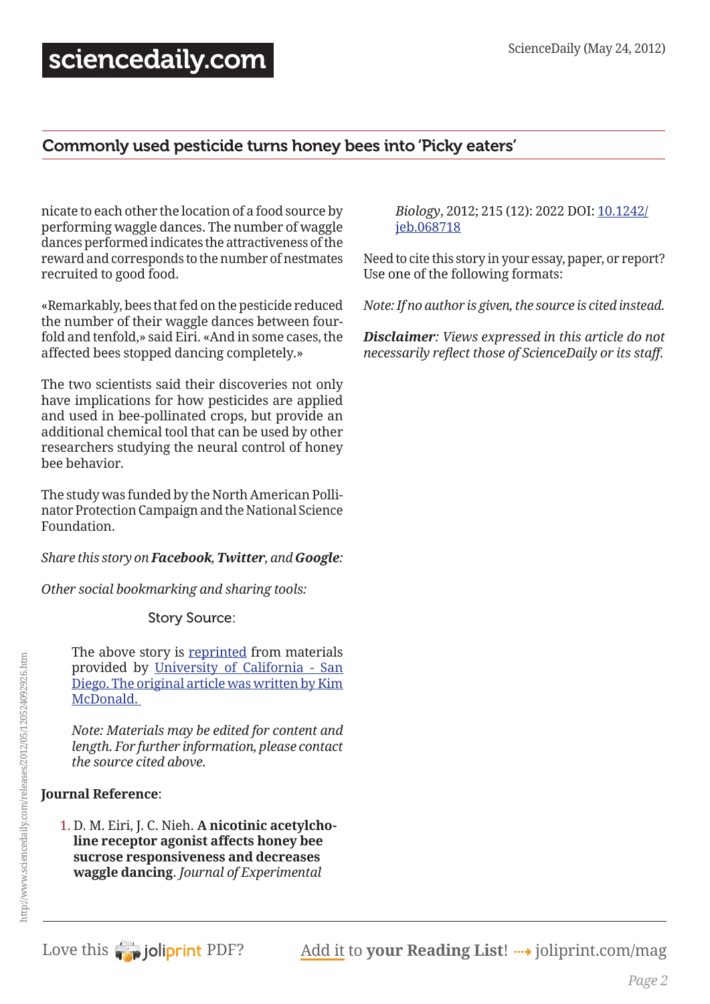### Commonly used pesticide turns honey bees into 'Picky eaters'

nicate to each other the location of a food source by performing waggle dances. The number of waggle dances performed indicates the attractiveness of the reward and corresponds to the number of nestmates recruited to good food.

«Remarkably, bees that fed on the pesticide reduced the number of their waggle dances between fourfold and tenfold,» said Eiri. «And in some cases, the affected bees stopped dancing completely.»

The two scientists said their discoveries not only have implications for how pesticides are applied and used in bee-pollinated crops, but provide an additional chemical tool that can be used by other researchers studying the neural control of honey bee behavior.

The study was funded by the North American Pollinator Protection Campaign and the National Science Foundation.

#### *Share this story on Facebook, Twitter, and Google:*

*Other social bookmarking and sharing tools:*

#### Story Source:

The above story is [reprinted](http://ucsdnews.ucsd.edu/pressreleases/commonly_used_pesticide_turns_honey_bees_into_picky_eaters/) from materials provided by [University of California - San](http://www.ucsd.edu)  [Diego.](http://www.ucsd.edu) The original article was written by Kim McDonald.

*Note: Materials may be edited for content and length. For further information, please contact the source cited above.*

#### **Journal Reference**:

1. D. M. Eiri, J. C. Nieh. **A nicotinic acetylcholine receptor agonist affects honey bee sucrose responsiveness and decreases waggle dancing**. *Journal of Experimental* 

#### *Biology*, 2012; 215 (12): 2022 DOI: [10.1242/](http://dx.doi.org/10.1242/jeb.068718) [jeb.068718](http://dx.doi.org/10.1242/jeb.068718)

Need to cite this story in your essay, paper, or report? Use one of the following formats:

*Note: If no author is given, the source is cited instead.*

*Disclaimer: Views expressed in this article do not necessarily reflect those of ScienceDaily or its staff.*